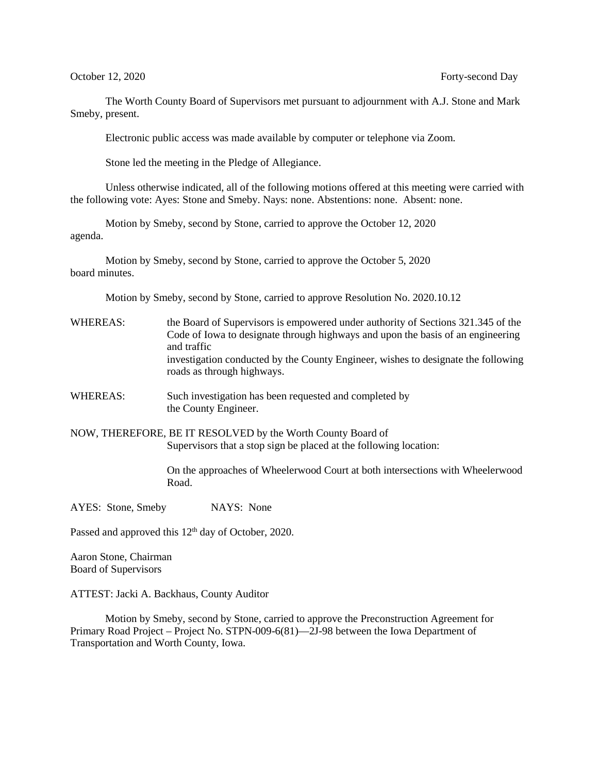The Worth County Board of Supervisors met pursuant to adjournment with A.J. Stone and Mark Smeby, present.

Electronic public access was made available by computer or telephone via Zoom.

Stone led the meeting in the Pledge of Allegiance.

Unless otherwise indicated, all of the following motions offered at this meeting were carried with the following vote: Ayes: Stone and Smeby. Nays: none. Abstentions: none. Absent: none.

Motion by Smeby, second by Stone, carried to approve the October 12, 2020 agenda.

Motion by Smeby, second by Stone, carried to approve the October 5, 2020 board minutes.

Motion by Smeby, second by Stone, carried to approve Resolution No. 2020.10.12

- WHEREAS: the Board of Supervisors is empowered under authority of Sections 321.345 of the Code of Iowa to designate through highways and upon the basis of an engineering and traffic investigation conducted by the County Engineer, wishes to designate the following roads as through highways.
- WHEREAS: Such investigation has been requested and completed by the County Engineer.

NOW, THEREFORE, BE IT RESOLVED by the Worth County Board of Supervisors that a stop sign be placed at the following location:

> On the approaches of Wheelerwood Court at both intersections with Wheelerwood Road.

AYES: Stone, Smeby NAYS: None

Passed and approved this 12<sup>th</sup> day of October, 2020.

Aaron Stone, Chairman Board of Supervisors

ATTEST: Jacki A. Backhaus, County Auditor

 Motion by Smeby, second by Stone, carried to approve the Preconstruction Agreement for Primary Road Project – Project No. STPN-009-6(81)—2J-98 between the Iowa Department of Transportation and Worth County, Iowa.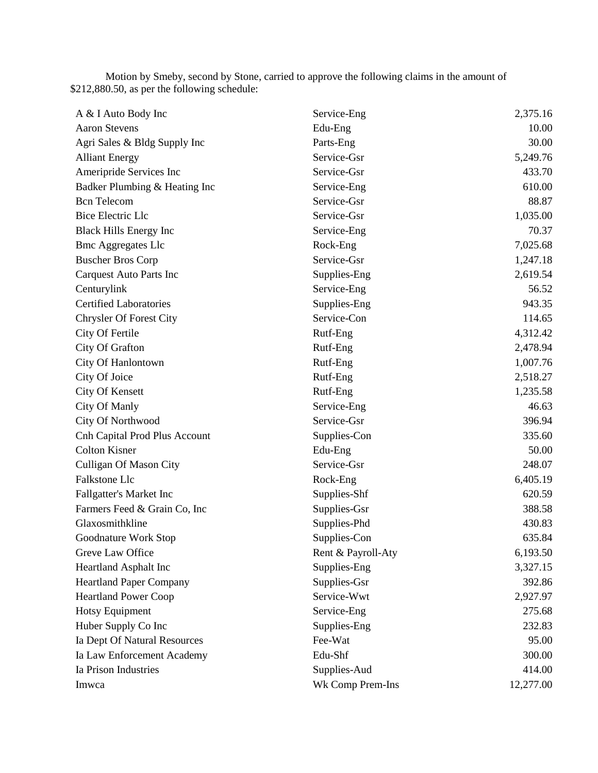Motion by Smeby, second by Stone, carried to approve the following claims in the amount of \$212,880.50, as per the following schedule:

| A & I Auto Body Inc            | Service-Eng        | 2,375.16  |
|--------------------------------|--------------------|-----------|
| <b>Aaron Stevens</b>           | Edu-Eng            | 10.00     |
| Agri Sales & Bldg Supply Inc   | Parts-Eng          | 30.00     |
| <b>Alliant Energy</b>          | Service-Gsr        | 5,249.76  |
| Ameripride Services Inc        | Service-Gsr        | 433.70    |
| Badker Plumbing & Heating Inc  | Service-Eng        | 610.00    |
| <b>Bcn</b> Telecom             | Service-Gsr        | 88.87     |
| <b>Bice Electric Llc</b>       | Service-Gsr        | 1,035.00  |
| <b>Black Hills Energy Inc</b>  | Service-Eng        | 70.37     |
| <b>Bmc Aggregates Llc</b>      | Rock-Eng           | 7,025.68  |
| <b>Buscher Bros Corp</b>       | Service-Gsr        | 1,247.18  |
| <b>Carquest Auto Parts Inc</b> | Supplies-Eng       | 2,619.54  |
| Centurylink                    | Service-Eng        | 56.52     |
| <b>Certified Laboratories</b>  | Supplies-Eng       | 943.35    |
| Chrysler Of Forest City        | Service-Con        | 114.65    |
| City Of Fertile                | Rutf-Eng           | 4,312.42  |
| City Of Grafton                | Rutf-Eng           | 2,478.94  |
| City Of Hanlontown             | Rutf-Eng           | 1,007.76  |
| City Of Joice                  | Rutf-Eng           | 2,518.27  |
| City Of Kensett                | Rutf-Eng           | 1,235.58  |
| City Of Manly                  | Service-Eng        | 46.63     |
| City Of Northwood              | Service-Gsr        | 396.94    |
| Cnh Capital Prod Plus Account  | Supplies-Con       | 335.60    |
| <b>Colton Kisner</b>           | Edu-Eng            | 50.00     |
| Culligan Of Mason City         | Service-Gsr        | 248.07    |
| Falkstone Llc                  | Rock-Eng           | 6,405.19  |
| <b>Fallgatter's Market Inc</b> | Supplies-Shf       | 620.59    |
| Farmers Feed & Grain Co, Inc   | Supplies-Gsr       | 388.58    |
| Glaxosmithkline                | Supplies-Phd       | 430.83    |
| Goodnature Work Stop           | Supplies-Con       | 635.84    |
| Greve Law Office               | Rent & Payroll-Aty | 6,193.50  |
| <b>Heartland Asphalt Inc</b>   | Supplies-Eng       | 3,327.15  |
| <b>Heartland Paper Company</b> | Supplies-Gsr       | 392.86    |
| <b>Heartland Power Coop</b>    | Service-Wwt        | 2,927.97  |
| Hotsy Equipment                | Service-Eng        | 275.68    |
| Huber Supply Co Inc            | Supplies-Eng       | 232.83    |
| Ia Dept Of Natural Resources   | Fee-Wat            | 95.00     |
| Ia Law Enforcement Academy     | Edu-Shf            | 300.00    |
| Ia Prison Industries           | Supplies-Aud       | 414.00    |
| Imwca                          | Wk Comp Prem-Ins   | 12,277.00 |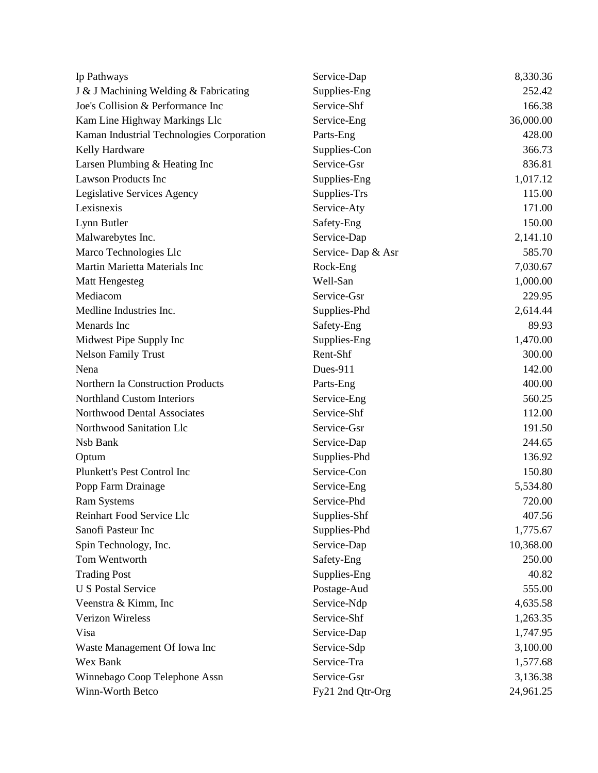| Ip Pathways                               | Service-Dap       | 8,330.36  |
|-------------------------------------------|-------------------|-----------|
| J & J Machining Welding & Fabricating     | Supplies-Eng      | 252.42    |
| Joe's Collision & Performance Inc         | Service-Shf       | 166.38    |
| Kam Line Highway Markings Llc             | Service-Eng       | 36,000.00 |
| Kaman Industrial Technologies Corporation | Parts-Eng         | 428.00    |
| Kelly Hardware                            | Supplies-Con      | 366.73    |
| Larsen Plumbing & Heating Inc             | Service-Gsr       | 836.81    |
| <b>Lawson Products Inc</b>                | Supplies-Eng      | 1,017.12  |
| Legislative Services Agency               | Supplies-Trs      | 115.00    |
| Lexisnexis                                | Service-Aty       | 171.00    |
| Lynn Butler                               | Safety-Eng        | 150.00    |
| Malwarebytes Inc.                         | Service-Dap       | 2,141.10  |
| Marco Technologies Llc                    | Service-Dap & Asr | 585.70    |
| Martin Marietta Materials Inc             | Rock-Eng          | 7,030.67  |
| <b>Matt Hengesteg</b>                     | Well-San          | 1,000.00  |
| Mediacom                                  | Service-Gsr       | 229.95    |
| Medline Industries Inc.                   | Supplies-Phd      | 2,614.44  |
| Menards Inc                               | Safety-Eng        | 89.93     |
| Midwest Pipe Supply Inc                   | Supplies-Eng      | 1,470.00  |
| <b>Nelson Family Trust</b>                | Rent-Shf          | 300.00    |
| Nena                                      | Dues-911          | 142.00    |
| Northern Ia Construction Products         | Parts-Eng         | 400.00    |
| <b>Northland Custom Interiors</b>         | Service-Eng       | 560.25    |
| Northwood Dental Associates               | Service-Shf       | 112.00    |
| Northwood Sanitation Llc                  | Service-Gsr       | 191.50    |
| Nsb Bank                                  | Service-Dap       | 244.65    |
| Optum                                     | Supplies-Phd      | 136.92    |
| Plunkett's Pest Control Inc               | Service-Con       | 150.80    |
| Popp Farm Drainage                        | Service-Eng       | 5,534.80  |
| <b>Ram Systems</b>                        | Service-Phd       | 720.00    |
| Reinhart Food Service Llc                 | Supplies-Shf      | 407.56    |
| Sanofi Pasteur Inc                        | Supplies-Phd      | 1,775.67  |
| Spin Technology, Inc.                     | Service-Dap       | 10,368.00 |
| Tom Wentworth                             | Safety-Eng        | 250.00    |
| <b>Trading Post</b>                       | Supplies-Eng      | 40.82     |
| <b>U S Postal Service</b>                 | Postage-Aud       | 555.00    |
| Veenstra & Kimm, Inc                      | Service-Ndp       | 4,635.58  |
| <b>Verizon Wireless</b>                   | Service-Shf       | 1,263.35  |
| Visa                                      | Service-Dap       | 1,747.95  |
| Waste Management Of Iowa Inc              | Service-Sdp       | 3,100.00  |
| Wex Bank                                  | Service-Tra       | 1,577.68  |
| Winnebago Coop Telephone Assn             | Service-Gsr       | 3,136.38  |
| Winn-Worth Betco                          | Fy21 2nd Qtr-Org  | 24,961.25 |